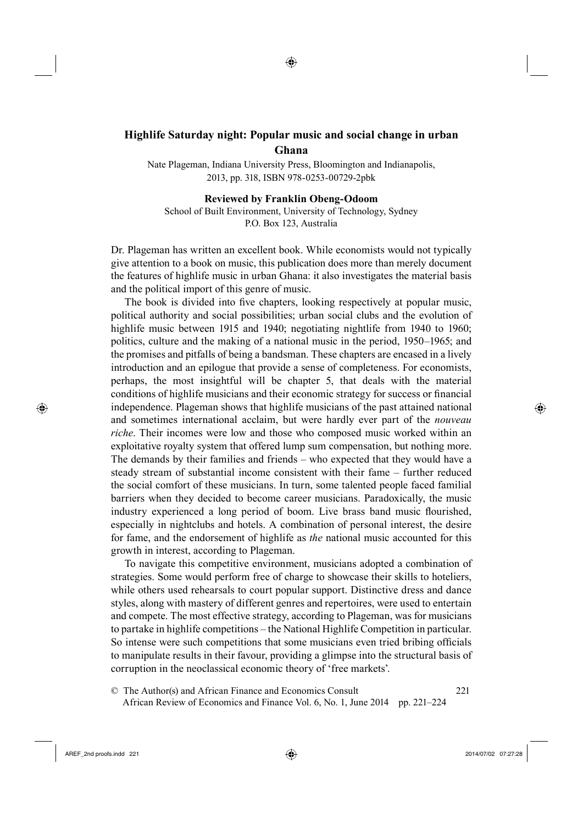# <sup>18</sup>**Highlife Saturday night: Popular music and social change in urban Ghana**

◈

Nate Plageman, Indiana University Press, Bloomington and Indianapolis, 2013, pp. 318, ISBN 978-0253-00729-2pbk

**Reviewed by Franklin Obeng-Odoom**

School of Built Environment, University of Technology, Sydney P.O. Box 123, Australia

Dr. Plageman has written an excellent book. While economists would not typically give attention to a book on music, this publication does more than merely document the features of highlife music in urban Ghana: it also investigates the material basis and the political import of this genre of music.

The book is divided into five chapters, looking respectively at popular music, political authority and social possibilities; urban social clubs and the evolution of highlife music between 1915 and 1940; negotiating nightlife from 1940 to 1960; politics, culture and the making of a national music in the period, 1950–1965; and the promises and pitfalls of being a bandsman. These chapters are encased in a lively introduction and an epilogue that provide a sense of completeness. For economists, perhaps, the most insightful will be chapter 5, that deals with the material conditions of highlife musicians and their economic strategy for success or financial independence. Plageman shows that highlife musicians of the past attained national and sometimes international acclaim, but were hardly ever part of the *nouveau riche*. Their incomes were low and those who composed music worked within an exploitative royalty system that offered lump sum compensation, but nothing more. The demands by their families and friends – who expected that they would have a steady stream of substantial income consistent with their fame – further reduced the social comfort of these musicians. In turn, some talented people faced familial barriers when they decided to become career musicians. Paradoxically, the music industry experienced a long period of boom. Live brass band music flourished, especially in nightclubs and hotels. A combination of personal interest, the desire for fame, and the endorsement of highlife as *the* national music accounted for this growth in interest, according to Plageman.

To navigate this competitive environment, musicians adopted a combination of strategies. Some would perform free of charge to showcase their skills to hoteliers, while others used rehearsals to court popular support. Distinctive dress and dance styles, along with mastery of different genres and repertoires, were used to entertain and compete. The most effective strategy, according to Plageman, was for musicians to partake in highlife competitions – the National Highlife Competition in particular. So intense were such competitions that some musicians even tried bribing officials to manipulate results in their favour, providing a glimpse into the structural basis of corruption in the neoclassical economic theory of 'free markets'.

49© The Author(s) and African Finance and Economics Consult 221 <sup>50</sup> African Review of Economics and Finance Vol. 6, No. 1, June 2014 pp. 221–224

⊕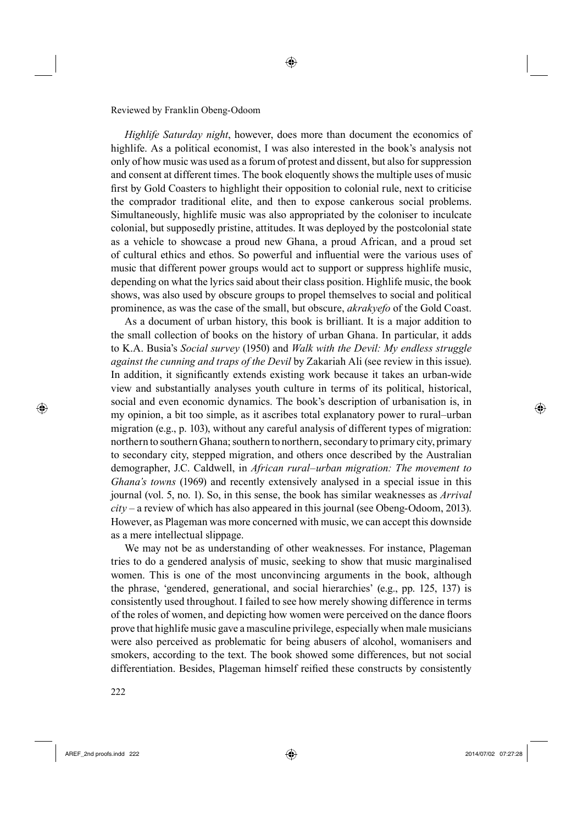### Reviewed by Franklin Obeng-Odoom

<sup>311</sup>*Highlife Saturday night*, however, does more than document the economics of highlife. As a political economist, I was also interested in the book's analysis not only of how music was used as a forum of protest and dissent, but also for suppression and consent at different times. The book eloquently shows the multiple uses of music first by Gold Coasters to highlight their opposition to colonial rule, next to criticise the comprador traditional elite, and then to expose cankerous social problems. Simultaneously, highlife music was also appropriated by the coloniser to inculcate colonial, but supposedly pristine, attitudes. It was deployed by the postcolonial state as a vehicle to showcase a proud new Ghana, a proud African, and a proud set of cultural ethics and ethos. So powerful and influential were the various uses of music that different power groups would act to support or suppress highlife music, depending on what the lyrics said about their class position. Highlife music, the book shows, was also used by obscure groups to propel themselves to social and political prominence, as was the case of the small, but obscure, *akrakyefo* of the Gold Coast.

As a document of urban history, this book is brilliant. It is a major addition to the small collection of books on the history of urban Ghana. In particular, it adds to K.A. Busia's *Social survey* (1950) and *Walk with the Devil: My endless struggle against the cunning and traps of the Devil* by Zakariah Ali (see review in this issue). In addition, it significantly extends existing work because it takes an urban-wide view and substantially analyses youth culture in terms of its political, historical, social and even economic dynamics. The book's description of urbanisation is, in my opinion, a bit too simple, as it ascribes total explanatory power to rural–urban migration (e.g., p. 103), without any careful analysis of different types of migration: northern to southern Ghana; southern to northern, secondary to primary city, primary to secondary city, stepped migration, and others once described by the Australian demographer, J.C. Caldwell, in *African rural–urban migration: The movement to Ghana's towns* (1969) and recently extensively analysed in a special issue in this journal (vol. 5, no. 1). So, in this sense, the book has similar weaknesses as *Arrival city* – a review of which has also appeared in this journal (see Obeng-Odoom, 2013). However, as Plageman was more concerned with music, we can accept this downside as a mere intellectual slippage.

We may not be as understanding of other weaknesses. For instance, Plageman tries to do a gendered analysis of music, seeking to show that music marginalised women. This is one of the most unconvincing arguments in the book, although the phrase, 'gendered, generational, and social hierarchies' (e.g., pp. 125, 137) is consistently used throughout. I failed to see how merely showing difference in terms of the roles of women, and depicting how women were perceived on the dance floors prove that highlife music gave a masculine privilege, especially when male musicians were also perceived as problematic for being abusers of alcohol, womanisers and smokers, according to the text. The book showed some differences, but not social differentiation. Besides, Plageman himself reified these constructs by consistently

222

⊕

⊕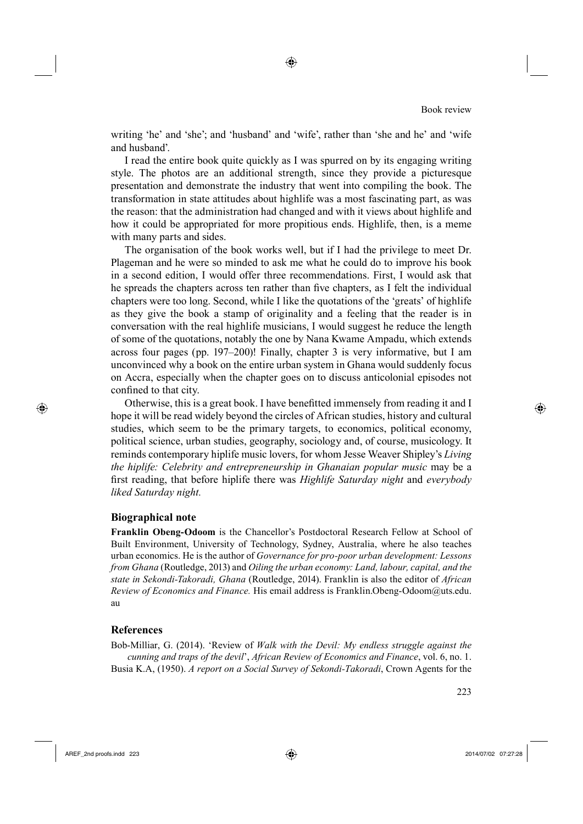#### Book review

writing 'he' and 'she'; and 'husband' and 'wife', rather than 'she and he' and 'wife and husband'.

◈

I read the entire book quite quickly as I was spurred on by its engaging writing style. The photos are an additional strength, since they provide a picturesque presentation and demonstrate the industry that went into compiling the book. The transformation in state attitudes about highlife was a most fascinating part, as was the reason: that the administration had changed and with it views about highlife and how it could be appropriated for more propitious ends. Highlife, then, is a meme with many parts and sides.

The organisation of the book works well, but if I had the privilege to meet Dr. Plageman and he were so minded to ask me what he could do to improve his book in a second edition, I would offer three recommendations. First, I would ask that he spreads the chapters across ten rather than five chapters, as I felt the individual chapters were too long. Second, while I like the quotations of the 'greats' of highlife as they give the book a stamp of originality and a feeling that the reader is in conversation with the real highlife musicians, I would suggest he reduce the length of some of the quotations, notably the one by Nana Kwame Ampadu, which extends across four pages (pp. 197–200)! Finally, chapter 3 is very informative, but I am unconvinced why a book on the entire urban system in Ghana would suddenly focus on Accra, especially when the chapter goes on to discuss anticolonial episodes not confined to that city.

Otherwise, this is a great book. I have benefitted immensely from reading it and I hope it will be read widely beyond the circles of African studies, history and cultural studies, which seem to be the primary targets, to economics, political economy, political science, urban studies, geography, sociology and, of course, musicology. It reminds contemporary hiplife music lovers, for whom Jesse Weaver Shipley's *Living the hiplife: Celebrity and entrepreneurship in Ghanaian popular music* may be a first reading, that before hiplife there was *Highlife Saturday night* and *everybody liked Saturday night.*

## **Biographical note**

**Franklin Obeng-Odoom** is the Chancellor's Postdoctoral Research Fellow at School of Built Environment, University of Technology, Sydney, Australia, where he also teaches urban economics. He is the author of *Governance for pro-poor urban development: Lessons from Ghana* (Routledge, 2013) and *Oiling the urban economy: Land, labour, capital, and the state in Sekondi-Takoradi, Ghana* (Routledge, 2014). Franklin is also the editor of *African Review of Economics and Finance.* His email address is Franklin.Obeng-Odoom@uts.edu. au

## **References**

Bob-Milliar, G. (2014). 'Review of *Walk with the Devil: My endless struggle against the cunning and traps of the devil*', *African Review of Economics and Finance*, vol. 6, no. 1. Busia K.A, (1950). *A report on a Social Survey of Sekondi-Takoradi*, Crown Agents for the

 $\bigoplus$  AREF\_2nd proofs.indd 223 2014/07/02 07:27:28

⊕

⊕